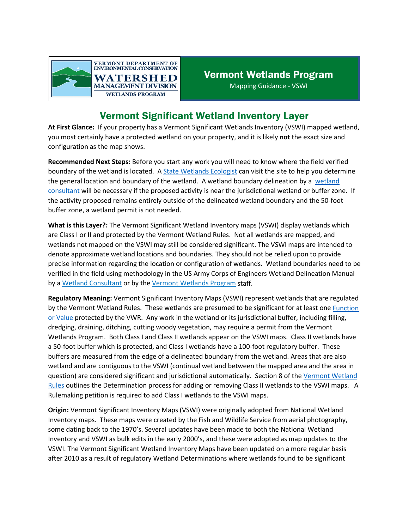

## Vermont Significant Wetland Inventory Layer

**At First Glance:** If your property has a Vermont Significant Wetlands Inventory (VSWI) mapped wetland, you most certainly have a protected wetland on your property, and it is likely **not** the exact size and configuration as the map shows.

**Recommended Next Steps:** Before you start any work you will need to know where the field verified boundary of the wetland is located. [A State Wetlands Ecologist](https://dec.vermont.gov/watershed/wetlands/contact) can visit the site to help you determine the general location and boundary of the wetland. A wetland boundary delineation by a [wetland](https://dec.vermont.gov/watershed/wetlands/what/id/wetland-consultant-list)  [consultant](https://dec.vermont.gov/watershed/wetlands/what/id/wetland-consultant-list) will be necessary if the proposed activity is near the jurisdictional wetland or buffer zone. If the activity proposed remains entirely outside of the delineated wetland boundary and the 50-foot buffer zone, a wetland permit is not needed.

**What is this Layer?:** The Vermont Significant Wetland Inventory maps (VSWI) display wetlands which are Class I or II and protected by the Vermont Wetland Rules. Not all wetlands are mapped, and wetlands not mapped on the VSWI may still be considered significant. The VSWI maps are intended to denote approximate wetland locations and boundaries. They should not be relied upon to provide precise information regarding the location or configuration of wetlands. Wetland boundaries need to be verified in the field using methodology in the US Army Corps of Engineers Wetland Delineation Manual by a [Wetland Consultant](https://dec.vermont.gov/watershed/wetlands/what/id/wetland-consultant-list) or by th[e Vermont Wetlands Program](https://dec.vermont.gov/watershed/wetlands/contact) staff.

**Regulatory Meaning:** Vermont Significant Inventory Maps (VSWI) represent wetlands that are regulated by the Vermont Wetland Rules. These wetlands are presumed to be significant for at least one [Function](https://dec.vermont.gov/watershed/wetlands/functions)  [or Value](https://dec.vermont.gov/watershed/wetlands/functions) protected by the VWR. Any work in the wetland or its jurisdictional buffer, including filling, dredging, draining, ditching, cutting woody vegetation, may require a permit from the Vermont Wetlands Program. Both Class I and Class II wetlands appear on the VSWI maps. Class II wetlands have a 50-foot buffer which is protected, and Class I wetlands have a 100-foot regulatory buffer. These buffers are measured from the edge of a delineated boundary from the wetland. Areas that are also wetland and are contiguous to the VSWI (continual wetland between the mapped area and the area in question) are considered significant and jurisdictional automatically. Section 8 of the [Vermont Wetland](https://dec.vermont.gov/sites/dec/files/documents/wsmd_VermontWetlandRules.pdf)  [Rules](https://dec.vermont.gov/sites/dec/files/documents/wsmd_VermontWetlandRules.pdf) outlines the Determination process for adding or removing Class II wetlands to the VSWI maps. A Rulemaking petition is required to add Class I wetlands to the VSWI maps.

**Origin:** Vermont Significant Inventory Maps (VSWI) were originally adopted from National Wetland Inventory maps. These maps were created by the Fish and Wildlife Service from aerial photography, some dating back to the 1970's. Several updates have been made to both the National Wetland Inventory and VSWI as bulk edits in the early 2000's, and these were adopted as map updates to the VSWI. The Vermont Significant Wetland Inventory Maps have been updated on a more regular basis after 2010 as a result of regulatory Wetland Determinations where wetlands found to be significant